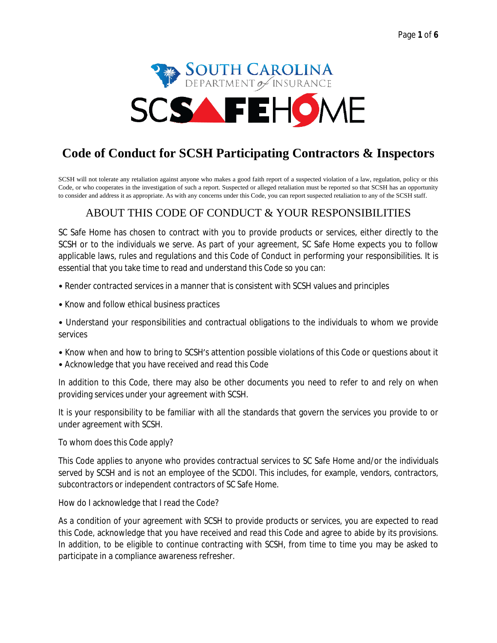

# **Code of Conduct for SCSH Participating Contractors & Inspectors**

SCSH will not tolerate any retaliation against anyone who makes a good faith report of a suspected violation of a law, regulation, policy or this Code, or who cooperates in the investigation of such a report. Suspected or alleged retaliation must be reported so that SCSH has an opportunity to consider and address it as appropriate. As with any concerns under this Code, you can report suspected retaliation to any of the SCSH staff.

#### ABOUT THIS CODE OF CONDUCT & YOUR RESPONSIBILITIES

SC Safe Home has chosen to contract with you to provide products or services, either directly to the SCSH or to the individuals we serve. As part of your agreement, SC Safe Home expects you to follow applicable laws, rules and regulations and this Code of Conduct in performing your responsibilities. It is essential that you take time to read and understand this Code so you can:

- Render contracted services in a manner that is consistent with SCSH values and principles
- Know and follow ethical business practices

• Understand your responsibilities and contractual obligations to the individuals to whom we provide services

- Know when and how to bring to SCSH's attention possible violations of this Code or questions about it
- Acknowledge that you have received and read this Code

In addition to this Code, there may also be other documents you need to refer to and rely on when providing services under your agreement with SCSH.

It is your responsibility to be familiar with all the standards that govern the services you provide to or under agreement with SCSH.

To whom does this Code apply?

This Code applies to anyone who provides contractual services to SC Safe Home and/or the individuals served by SCSH and is not an employee of the SCDOI. This includes, for example, vendors, contractors, subcontractors or independent contractors of SC Safe Home.

How do I acknowledge that I read the Code?

As a condition of your agreement with SCSH to provide products or services, you are expected to read this Code, acknowledge that you have received and read this Code and agree to abide by its provisions. In addition, to be eligible to continue contracting with SCSH, from time to time you may be asked to participate in a compliance awareness refresher.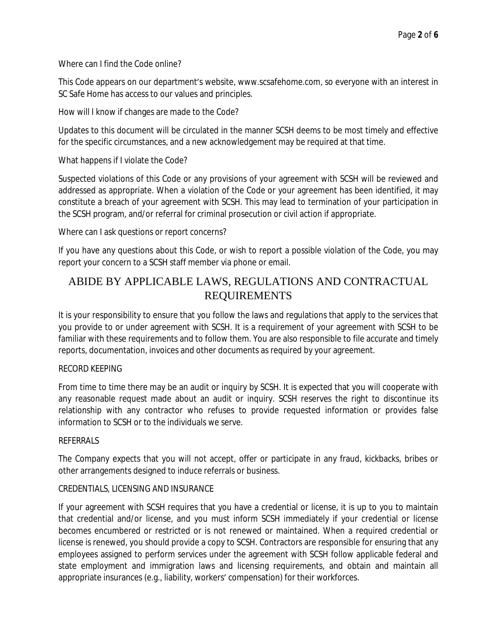Where can I find the Code online?

This Code appears on our department's website, www.scsafehome.com, so everyone with an interest in SC Safe Home has access to our values and principles.

How will I know if changes are made to the Code?

Updates to this document will be circulated in the manner SCSH deems to be most timely and effective for the specific circumstances, and a new acknowledgement may be required at that time.

What happens if I violate the Code?

Suspected violations of this Code or any provisions of your agreement with SCSH will be reviewed and addressed as appropriate. When a violation of the Code or your agreement has been identified, it may constitute a breach of your agreement with SCSH. This may lead to termination of your participation in the SCSH program, and/or referral for criminal prosecution or civil action if appropriate.

Where can I ask questions or report concerns?

If you have any questions about this Code, or wish to report a possible violation of the Code, you may report your concern to a SCSH staff member via phone or email.

# ABIDE BY APPLICABLE LAWS, REGULATIONS AND CONTRACTUAL REQUIREMENTS

It is your responsibility to ensure that you follow the laws and regulations that apply to the services that you provide to or under agreement with SCSH. It is a requirement of your agreement with SCSH to be familiar with these requirements and to follow them. You are also responsible to file accurate and timely reports, documentation, invoices and other documents as required by your agreement.

#### RECORD KEEPING

From time to time there may be an audit or inquiry by SCSH. It is expected that you will cooperate with any reasonable request made about an audit or inquiry. SCSH reserves the right to discontinue its relationship with any contractor who refuses to provide requested information or provides false information to SCSH or to the individuals we serve.

#### REFERRALS

The Company expects that you will not accept, offer or participate in any fraud, kickbacks, bribes or other arrangements designed to induce referrals or business.

#### CREDENTIALS, LICENSING AND INSURANCE

If your agreement with SCSH requires that you have a credential or license, it is up to you to maintain that credential and/or license, and you must inform SCSH immediately if your credential or license becomes encumbered or restricted or is not renewed or maintained. When a required credential or license is renewed, you should provide a copy to SCSH. Contractors are responsible for ensuring that any employees assigned to perform services under the agreement with SCSH follow applicable federal and state employment and immigration laws and licensing requirements, and obtain and maintain all appropriate insurances (e.g., liability, workers' compensation) for their workforces.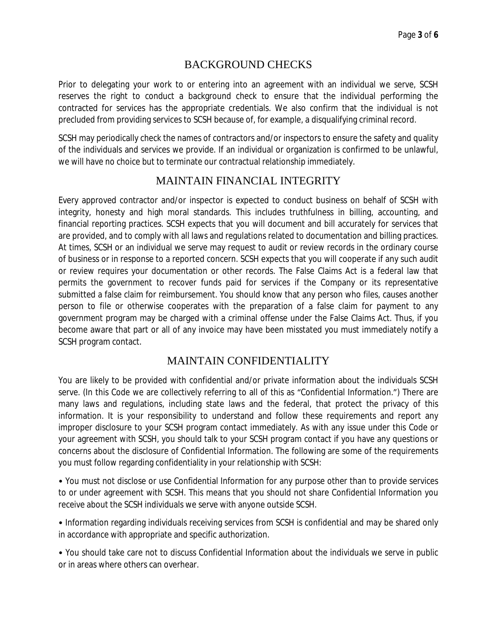### BACKGROUND CHECKS

Prior to delegating your work to or entering into an agreement with an individual we serve, SCSH reserves the right to conduct a background check to ensure that the individual performing the contracted for services has the appropriate credentials. We also confirm that the individual is not precluded from providing services to SCSH because of, for example, a disqualifying criminal record.

SCSH may periodically check the names of contractors and/or inspectors to ensure the safety and quality of the individuals and services we provide. If an individual or organization is confirmed to be unlawful, we will have no choice but to terminate our contractual relationship immediately.

#### MAINTAIN FINANCIAL INTEGRITY

Every approved contractor and/or inspector is expected to conduct business on behalf of SCSH with integrity, honesty and high moral standards. This includes truthfulness in billing, accounting, and financial reporting practices. SCSH expects that you will document and bill accurately for services that are provided, and to comply with all laws and regulations related to documentation and billing practices. At times, SCSH or an individual we serve may request to audit or review records in the ordinary course of business or in response to a reported concern. SCSH expects that you will cooperate if any such audit or review requires your documentation or other records. The False Claims Act is a federal law that permits the government to recover funds paid for services if the Company or its representative submitted a false claim for reimbursement. You should know that any person who files, causes another person to file or otherwise cooperates with the preparation of a false claim for payment to any government program may be charged with a criminal offense under the False Claims Act. Thus, if you become aware that part or all of any invoice may have been misstated you must immediately notify a SCSH program contact.

### MAINTAIN CONFIDENTIALITY

You are likely to be provided with confidential and/or private information about the individuals SCSH serve. (In this Code we are collectively referring to all of this as "Confidential Information.") There are many laws and regulations, including state laws and the federal, that protect the privacy of this information. It is your responsibility to understand and follow these requirements and report any improper disclosure to your SCSH program contact immediately. As with any issue under this Code or your agreement with SCSH, you should talk to your SCSH program contact if you have any questions or concerns about the disclosure of Confidential Information. The following are some of the requirements you must follow regarding confidentiality in your relationship with SCSH:

• You must not disclose or use Confidential Information for any purpose other than to provide services to or under agreement with SCSH. This means that you should not share Confidential Information you receive about the SCSH individuals we serve with anyone outside SCSH.

• Information regarding individuals receiving services from SCSH is confidential and may be shared only in accordance with appropriate and specific authorization.

• You should take care not to discuss Confidential Information about the individuals we serve in public or in areas where others can overhear.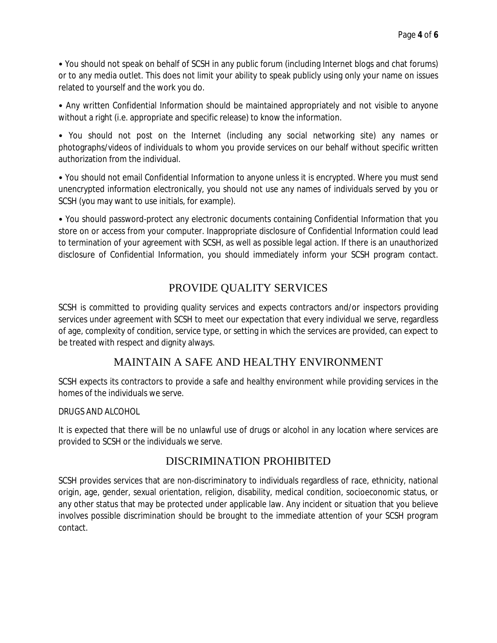• You should not speak on behalf of SCSH in any public forum (including Internet blogs and chat forums) or to any media outlet. This does not limit your ability to speak publicly using only your name on issues related to yourself and the work you do.

• Any written Confidential Information should be maintained appropriately and not visible to anyone without a right (i.e. appropriate and specific release) to know the information.

• You should not post on the Internet (including any social networking site) any names or photographs/videos of individuals to whom you provide services on our behalf without specific written authorization from the individual.

• You should not email Confidential Information to anyone unless it is encrypted. Where you must send unencrypted information electronically, you should not use any names of individuals served by you or SCSH (you may want to use initials, for example).

• You should password-protect any electronic documents containing Confidential Information that you store on or access from your computer. Inappropriate disclosure of Confidential Information could lead to termination of your agreement with SCSH, as well as possible legal action. If there is an unauthorized disclosure of Confidential Information, you should immediately inform your SCSH program contact.

### PROVIDE QUALITY SERVICES

SCSH is committed to providing quality services and expects contractors and/or inspectors providing services under agreement with SCSH to meet our expectation that every individual we serve, regardless of age, complexity of condition, service type, or setting in which the services are provided, can expect to be treated with respect and dignity always.

### MAINTAIN A SAFE AND HEALTHY ENVIRONMENT

SCSH expects its contractors to provide a safe and healthy environment while providing services in the homes of the individuals we serve.

#### DRUGS AND ALCOHOL

It is expected that there will be no unlawful use of drugs or alcohol in any location where services are provided to SCSH or the individuals we serve.

#### DISCRIMINATION PROHIBITED

SCSH provides services that are non-discriminatory to individuals regardless of race, ethnicity, national origin, age, gender, sexual orientation, religion, disability, medical condition, socioeconomic status, or any other status that may be protected under applicable law. Any incident or situation that you believe involves possible discrimination should be brought to the immediate attention of your SCSH program contact.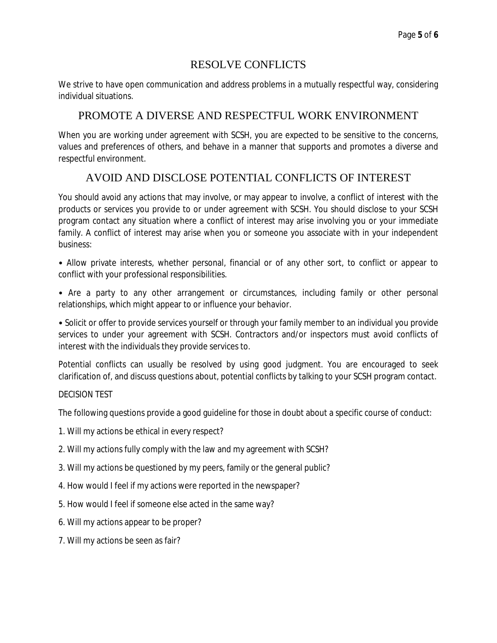## RESOLVE CONFLICTS

We strive to have open communication and address problems in a mutually respectful way, considering individual situations.

## PROMOTE A DIVERSE AND RESPECTFUL WORK ENVIRONMENT

When you are working under agreement with SCSH, you are expected to be sensitive to the concerns, values and preferences of others, and behave in a manner that supports and promotes a diverse and respectful environment.

# AVOID AND DISCLOSE POTENTIAL CONFLICTS OF INTEREST

You should avoid any actions that may involve, or may appear to involve, a conflict of interest with the products or services you provide to or under agreement with SCSH. You should disclose to your SCSH program contact any situation where a conflict of interest may arise involving you or your immediate family. A conflict of interest may arise when you or someone you associate with in your independent business:

• Allow private interests, whether personal, financial or of any other sort, to conflict or appear to conflict with your professional responsibilities.

• Are a party to any other arrangement or circumstances, including family or other personal relationships, which might appear to or influence your behavior.

• Solicit or offer to provide services yourself or through your family member to an individual you provide services to under your agreement with SCSH. Contractors and/or inspectors must avoid conflicts of interest with the individuals they provide services to.

Potential conflicts can usually be resolved by using good judgment. You are encouraged to seek clarification of, and discuss questions about, potential conflicts by talking to your SCSH program contact.

#### DECISION TEST

The following questions provide a good guideline for those in doubt about a specific course of conduct:

- 1. Will my actions be ethical in every respect?
- 2. Will my actions fully comply with the law and my agreement with SCSH?
- 3. Will my actions be questioned by my peers, family or the general public?
- 4. How would I feel if my actions were reported in the newspaper?
- 5. How would I feel if someone else acted in the same way?
- 6. Will my actions appear to be proper?
- 7. Will my actions be seen as fair?